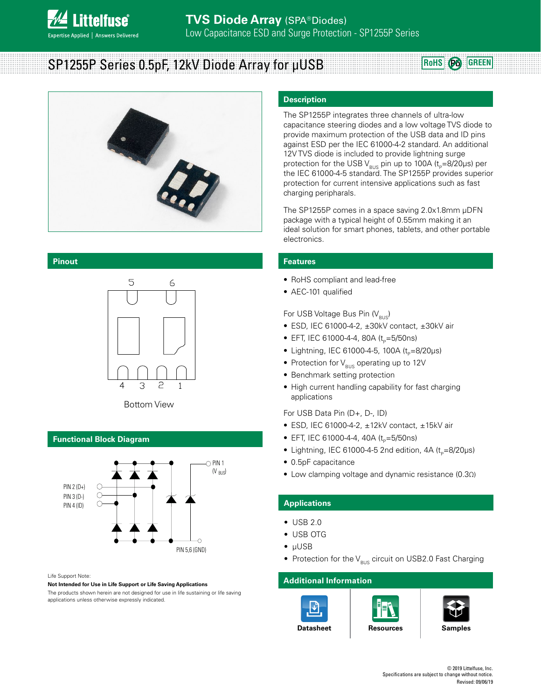

# **SP1255P Series 0.5pF, 12kV Diode Array for μUSB <b>REFALL SP1255P** Series 0.5pF, 12kV Diode Array for μUSB

#### **Pinout**





#### **Functional Block Diagram**



#### Life Support Note:

**Not Intended for Use in Life Support or Life Saving Applications**

The products shown herein are not designed for use in life sustaining or life saving applications unless otherwise expressly indicated.

#### **Description**

The SP1255P integrates three channels of ultra-low capacitance steering diodes and a low voltage TVS diode to provide maximum protection of the USB data and ID pins against ESD per the IEC 61000-4-2 standard. An additional 12V TVS diode is included to provide lightning surge protection for the USB V<sub>BUS</sub> pin up to 100A ( $t_{p}=8/20$ μs) per the IEC 61000-4-5 standard. The SP1255P provides superior protection for current intensive applications such as fast charging peripharals.

The SP1255P comes in a space saving 2.0x1.8mm μDFN package with a typical height of 0.55mm making it an ideal solution for smart phones, tablets, and other portable electronics.

#### **Features**

- RoHS compliant and lead-free
- AEC-101 qualified

For USB Voltage Bus Pin  $(V_{\text{BUS}})$ 

- ESD, IEC 61000-4-2, ±30kV contact, ±30kV air
- EFT, IEC 61000-4-4, 80A ( $t_{p}=5/50$ ns)
- Lightning, IEC 61000-4-5, 100A ( $t_{p}=8/20\mu s$ )
- Protection for  $V_{\text{RUS}}$  operating up to 12V
- Benchmark setting protection
- High current handling capability for fast charging applications

For USB Data Pin (D+, D-, ID)

- ESD, IEC 61000-4-2, ±12kV contact, ±15kV air
- EFT, IEC 61000-4-4, 40A ( $t_p$ =5/50ns)
- Lightning, IEC 61000-4-5 2nd edition,  $4A(t_0=8/20\mu s)$
- 0.5pF capacitance
- Low clamping voltage and dynamic resistance (0.3Ω)

#### **Applications**

- USB 2.0
- USB OTG
- μUSB
- Protection for the  $V_{\text{RUS}}$  circuit on USB2.0 Fast Charging

#### **Additional Information**







**[Datasheet](http://)** | [Resources](http://) | [Samples](http://)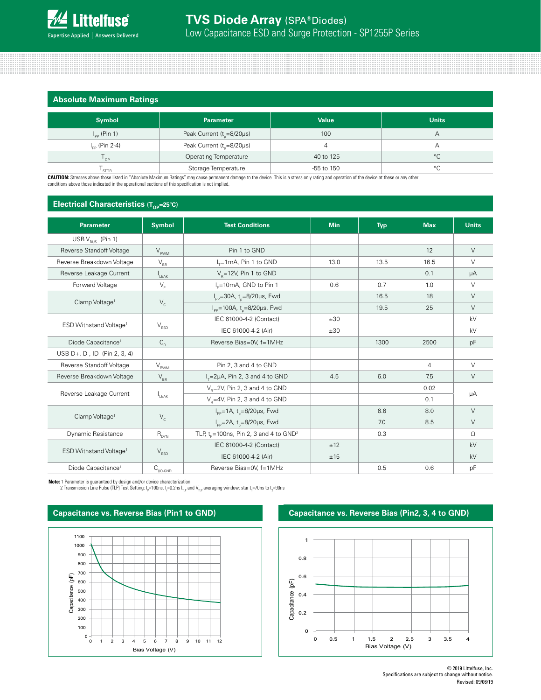

**Absolute Maximum Ratings**

| <b>ADJOINTE INNATITIONI TRAINING</b> |                                       |              |                    |
|--------------------------------------|---------------------------------------|--------------|--------------------|
| <b>Symbol</b>                        | <b>Parameter</b>                      | <b>Value</b> | <b>Units</b>       |
| $I_{\text{pp}}$ (Pin 1)              | Peak Current ( $t_{0} = 8/20 \mu s$ ) | 100          | Α                  |
| $I_{\text{pp}}$ (Pin 2-4)            | Peak Current ( $t_{0} = 8/20 \mu s$ ) | 4            | Α                  |
| $^{\prime}$ OP                       | <b>Operating Temperature</b>          | -40 to 125   | $^{\circ}$ C       |
| STOR                                 | Storage Temperature                   | -55 to 150   | $\circ$<br>$\cdot$ |

**CAUTION:** Stresses above those listed in "Absolute Maximum Ratings" may cause permanent damage to the device. This is a stress only rating and operation of the device at these or any other conditions above those indicated in the operational sections of this specification is not implied.

# **Electrical Characteristics (T<sub>OP</sub>=25°C)**

| <b>Parameter</b>                   | <b>Symbol</b>                                         | <b>Test Conditions</b>                                       | <b>Min</b> | <b>Typ</b> | <b>Max</b> | <b>Units</b> |
|------------------------------------|-------------------------------------------------------|--------------------------------------------------------------|------------|------------|------------|--------------|
| USB $V_{\text{BUS}}$ (Pin 1)       |                                                       |                                                              |            |            |            |              |
| Reverse Standoff Voltage           | $V_{RWM}$                                             | Pin 1 to GND                                                 |            |            | 12         | $\vee$       |
| Reverse Breakdown Voltage          | $V_{BR}$                                              | $I_r = 1$ mA, Pin 1 to GND                                   | 13.0       | 13.5       | 16.5       | $\vee$       |
| Reverse Leakage Current            | LEAK                                                  | $V_e = 12V$ , Pin 1 to GND                                   |            |            | 0.1        | $\mu A$      |
| Forward Voltage                    | $V_F$                                                 | I <sub>r</sub> =10mA, GND to Pin 1                           | 0.6        | 0.7        | 1.0        | $\vee$       |
|                                    |                                                       | $I_{\text{pp}}$ =30A, t <sub>n</sub> =8/20µs, Fwd            |            | 16.5       | 18         | $\vee$       |
| Clamp Voltage <sup>1</sup>         | $V_c$                                                 | $I_{\text{pp}}$ =100A, t <sub>o</sub> =8/20µs, Fwd           |            | 19.5       | 25         | $\vee$       |
|                                    |                                                       | IEC 61000-4-2 (Contact)                                      | ±30        |            |            | kV           |
| ESD Withstand Voltage <sup>1</sup> | $\mathsf{V}_{\texttt{ESD}}$                           | IEC 61000-4-2 (Air)                                          | ±30        |            |            | kV           |
| Diode Capacitance <sup>1</sup>     | $C_{\text{D}}$                                        | Reverse Bias=0V, f=1MHz                                      |            | 1300       | 2500       | pF           |
| USB D+, D-, ID (Pin 2, 3, 4)       |                                                       |                                                              |            |            |            |              |
| Reverse Standoff Voltage           | $\mathsf{V}_{\mathsf{R\underline{W}\hspace{-.1em}M}}$ | Pin 2, 3 and 4 to GND                                        |            |            | 4          | $\vee$       |
| Reverse Breakdown Voltage          | $\mathsf{V}_{\mathsf{BR}}$                            | $I_x=2\mu A$ , Pin 2, 3 and 4 to GND                         | 4.5        | 6.0        | 7.5        | $\vee$       |
| Reverse Leakage Current            | $I_{\text{IFAK}}$                                     | $V_p = 2V$ , Pin 2, 3 and 4 to GND                           |            |            | 0.02       |              |
|                                    |                                                       | $V_p = 4V$ , Pin 2, 3 and 4 to GND                           |            |            | 0.1        | μA           |
| Clamp Voltage <sup>1</sup>         | $V_c$                                                 | $I_{\text{pp}} = 1 \text{A}, t_{\text{o}} = 8/20 \mu s,$ Fwd |            | 6.6        | 8.0        | $\vee$       |
|                                    |                                                       | $I_{\text{pp}} = 2A$ , t <sub>o</sub> =8/20µs, Fwd           |            | 7.0        | 8.5        | $\vee$       |
| Dynamic Resistance                 | $R_{DYN}$                                             | TLP, $t_p = 100$ ns, Pin 2, 3 and 4 to $GND^2$               |            | 0.3        |            | $\Omega$     |
|                                    | $\mathsf{V}_{\texttt{ESD}}$                           | IEC 61000-4-2 (Contact)                                      | ±12        |            |            | kV           |
| ESD Withstand Voltage <sup>1</sup> |                                                       | IEC 61000-4-2 (Air)                                          | ±15        |            |            | kV           |
| Diode Capacitance <sup>1</sup>     | $C_{_{\text{I/O-GND}}}$                               | Reverse Bias=0V, f=1MHz                                      |            | 0.5        | 0.6        | pF           |

**Note:** 1 Parameter is guaranteed by design and/or device characterization.

2 Transmission Line Pulse (TLP) Test Setting: t<sub>e</sub>=100ns, t<sub>r</sub>=0.2ns I<sub>ne</sub> and V<sub>ne</sub> averaging window: star t<sub>i</sub>=70ns to t<sub>2</sub>=90ns





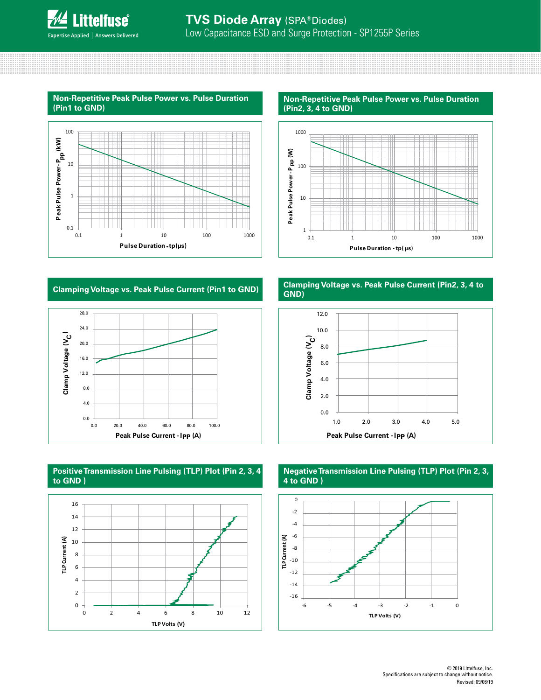

**Non-Repetitive Peak Pulse Power vs. Pulse Duration (Pin1 to GND)**



**Non-Repetitive Peak Pulse Power vs. Pulse Duration (Pin2, 3, 4 to GND)**



# **Clamping Voltage vs. Peak Pulse Current (Pin1 to GND)**



## **Positive Transmission Line Pulsing (TLP) Plot (Pin 2, 3, 4 to GND )**



#### **Clamping Voltage vs. Peak Pulse Current (Pin2, 3, 4 to GND)**



# **Negative Transmission Line Pulsing (TLP) Plot (Pin 2, 3, 4 to GND )**

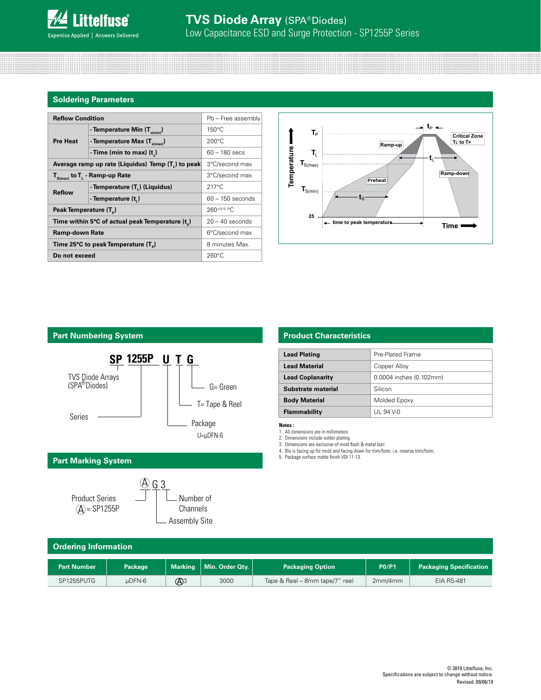

# **Soldering Parameters**

| <b>Reflow Condition</b>                         | Pb - Free assembly                                             |                    |  |
|-------------------------------------------------|----------------------------------------------------------------|--------------------|--|
|                                                 | - Temperature Min $(T_{s(min)})$                               | $150^{\circ}$ C    |  |
| <b>Pre Heat</b>                                 | - Temperature Max $(T_{s(max)})$                               | $200^{\circ}$ C    |  |
|                                                 | - Time (min to max) $(t_2)$                                    | $60 - 180$ secs    |  |
|                                                 | Average ramp up rate (Liquidus) Temp (T <sub>1</sub> ) to peak | 3°C/second max     |  |
| $T_{S(max)}$ to $T_{L}$ - Ramp-up Rate          | 3°C/second max                                                 |                    |  |
| <b>Reflow</b>                                   | - Temperature (T.) (Liquidus)                                  | $217^{\circ}$ C    |  |
|                                                 | - Temperature (t.)                                             | $60 - 150$ seconds |  |
| Peak Temperature (T <sub>n</sub> )              | $260^{+0/5}$ °C                                                |                    |  |
| Time within 5°C of actual peak Temperature (t)  | $20 - 40$ seconds                                              |                    |  |
| <b>Ramp-down Rate</b>                           |                                                                | 6°C/second max     |  |
| Time 25°C to peak Temperature (T <sub>a</sub> ) | 8 minutes Max.                                                 |                    |  |
| Do not exceed                                   | $260^{\circ}$ C                                                |                    |  |



# **Part Numbering System**



# **Part Marking System**



# **Product Characteristics**

| <b>Lead Plating</b>     | Pre-Plated Frame        |
|-------------------------|-------------------------|
| <b>Lead Material</b>    | Copper Alloy            |
| <b>Lead Coplanarity</b> | 0.0004 inches (0.102mm) |
| Substrate material      | Silicon                 |
| <b>Body Material</b>    | Molded Epoxy            |
| Flammability            | UL 94 V-0               |

**Notes :** 

1. All dimensions are in millimeters

2. Dimensions include solder plating. 3. Dimensions are exclusive of mold flash & metal burr.

4. Blo is facing up for mold and facing down for trim/form, i.e. reverse trim/form. 5. Package surface matte finish VDI 11-13.

| <b>Ordering Information</b> |                |               |                           |                                |              |                                |
|-----------------------------|----------------|---------------|---------------------------|--------------------------------|--------------|--------------------------------|
| <b>Part Number</b>          | <b>Package</b> |               | Marking   Min. Order Qty. | <b>Packaging Option</b>        | <b>P0/P1</b> | <b>Packaging Specification</b> |
| SP1255PUTG                  | uDFN-6         | $\bigoplus$ 3 | 3000                      | Tape & Reel - 8mm tape/7" reel | 2mm/4mm      | <b>EIA RS-481</b>              |